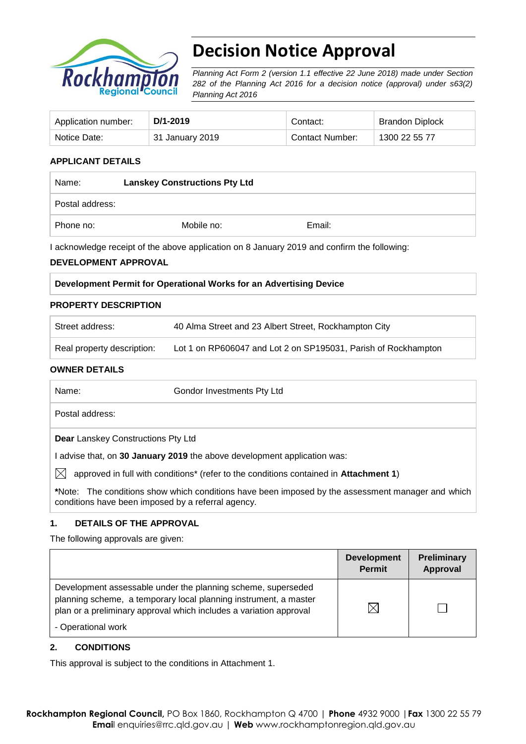

# **Decision Notice Approval**

*Planning Act Form 2 (version 1.1 effective 22 June 2018) made under Section 282 of the Planning Act 2016 for a decision notice (approval) under s63(2) Planning Act 2016*

| Application number: | D/1-2019        | Contact:        | <b>Brandon Diplock</b> |
|---------------------|-----------------|-----------------|------------------------|
| Notice Date:        | 31 January 2019 | Contact Number: | 1300 22 55 77          |

# **APPLICANT DETAILS**

| Name:           | <b>Lanskey Constructions Pty Ltd</b> |        |  |
|-----------------|--------------------------------------|--------|--|
| Postal address: |                                      |        |  |
| Phone no:       | Mobile no:                           | Email: |  |

I acknowledge receipt of the above application on 8 January 2019 and confirm the following:

#### **DEVELOPMENT APPROVAL**

### **Development Permit for Operational Works for an Advertising Device**

#### **PROPERTY DESCRIPTION**

| Street address:            | 40 Alma Street and 23 Albert Street, Rockhampton City          |
|----------------------------|----------------------------------------------------------------|
| Real property description: | Lot 1 on RP606047 and Lot 2 on SP195031, Parish of Rockhampton |

#### **OWNER DETAILS**

| Name:                                              | Gondor Investments Pty Ltd                                                                                |
|----------------------------------------------------|-----------------------------------------------------------------------------------------------------------|
| Postal address:                                    |                                                                                                           |
| <b>Dear</b> Lanskey Constructions Pty Ltd          |                                                                                                           |
|                                                    | I advise that, on 30 January 2019 the above development application was:                                  |
| IXI                                                | approved in full with conditions <sup>*</sup> (refer to the conditions contained in <b>Attachment 1</b> ) |
| conditions have been imposed by a referral agency. | *Note: The conditions show which conditions have been imposed by the assessment manager and which         |

#### **1. DETAILS OF THE APPROVAL**

The following approvals are given:

|                                                                                                                                                                                                                              | <b>Development</b><br><b>Permit</b> | Preliminary<br>Approval |
|------------------------------------------------------------------------------------------------------------------------------------------------------------------------------------------------------------------------------|-------------------------------------|-------------------------|
| Development assessable under the planning scheme, superseded<br>planning scheme, a temporary local planning instrument, a master<br>plan or a preliminary approval which includes a variation approval<br>- Operational work | 'Х                                  |                         |

#### **2. CONDITIONS**

This approval is subject to the conditions in Attachment 1.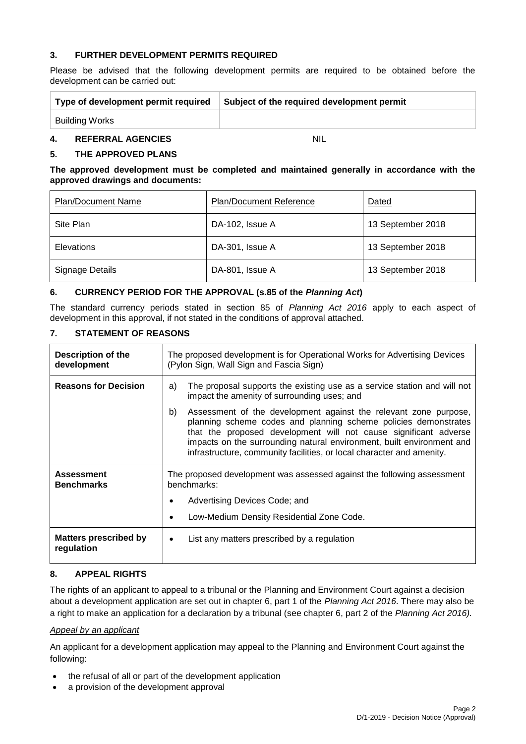#### **3. FURTHER DEVELOPMENT PERMITS REQUIRED**

Please be advised that the following development permits are required to be obtained before the development can be carried out:

| Type of development permit required |                          | Subject of the required development permit |  |
|-------------------------------------|--------------------------|--------------------------------------------|--|
|                                     | Building Works           |                                            |  |
| $\boldsymbol{4}$                    | <b>REFERRAL AGENCIES</b> | NIL                                        |  |

#### **5. THE APPROVED PLANS**

#### **The approved development must be completed and maintained generally in accordance with the approved drawings and documents:**

| <b>Plan/Document Name</b> | Plan/Document Reference | Dated             |
|---------------------------|-------------------------|-------------------|
| Site Plan                 | DA-102, Issue A         | 13 September 2018 |
| Elevations                | DA-301, Issue A         | 13 September 2018 |
| <b>Signage Details</b>    | DA-801, Issue A         | 13 September 2018 |

#### **6. CURRENCY PERIOD FOR THE APPROVAL (s.85 of the** *Planning Act***)**

The standard currency periods stated in section 85 of *Planning Act 2016* apply to each aspect of development in this approval, if not stated in the conditions of approval attached.

#### **7. STATEMENT OF REASONS**

| Description of the<br>development          | The proposed development is for Operational Works for Advertising Devices<br>(Pylon Sign, Wall Sign and Fascia Sign)                                                                                                                                                                                                                                            |  |  |
|--------------------------------------------|-----------------------------------------------------------------------------------------------------------------------------------------------------------------------------------------------------------------------------------------------------------------------------------------------------------------------------------------------------------------|--|--|
| <b>Reasons for Decision</b>                | The proposal supports the existing use as a service station and will not<br>a)<br>impact the amenity of surrounding uses; and                                                                                                                                                                                                                                   |  |  |
|                                            | b)<br>Assessment of the development against the relevant zone purpose,<br>planning scheme codes and planning scheme policies demonstrates<br>that the proposed development will not cause significant adverse<br>impacts on the surrounding natural environment, built environment and<br>infrastructure, community facilities, or local character and amenity. |  |  |
| <b>Assessment</b><br><b>Benchmarks</b>     | The proposed development was assessed against the following assessment<br>benchmarks:                                                                                                                                                                                                                                                                           |  |  |
|                                            | Advertising Devices Code; and                                                                                                                                                                                                                                                                                                                                   |  |  |
|                                            | Low-Medium Density Residential Zone Code.<br>٠                                                                                                                                                                                                                                                                                                                  |  |  |
| <b>Matters prescribed by</b><br>regulation | List any matters prescribed by a regulation<br>$\bullet$                                                                                                                                                                                                                                                                                                        |  |  |

#### **8. APPEAL RIGHTS**

The rights of an applicant to appeal to a tribunal or the Planning and Environment Court against a decision about a development application are set out in chapter 6, part 1 of the *Planning Act 2016*. There may also be a right to make an application for a declaration by a tribunal (see chapter 6, part 2 of the *Planning Act 2016).*

#### *Appeal by an applicant*

An applicant for a development application may appeal to the Planning and Environment Court against the following:

- the refusal of all or part of the development application
- a provision of the development approval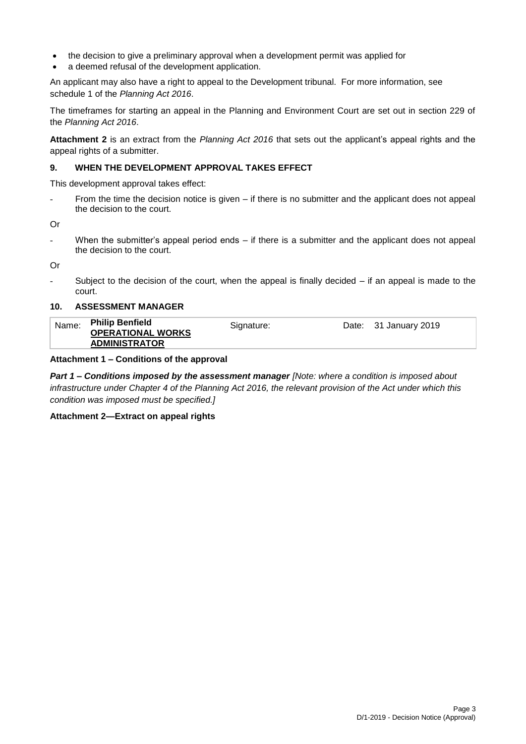- the decision to give a preliminary approval when a development permit was applied for
- a deemed refusal of the development application.

An applicant may also have a right to appeal to the Development tribunal. For more information, see schedule 1 of the *Planning Act 2016*.

The timeframes for starting an appeal in the Planning and Environment Court are set out in section 229 of the *Planning Act 2016*.

**Attachment 2** is an extract from the *Planning Act 2016* that sets out the applicant's appeal rights and the appeal rights of a submitter.

#### **9. WHEN THE DEVELOPMENT APPROVAL TAKES EFFECT**

This development approval takes effect:

From the time the decision notice is given – if there is no submitter and the applicant does not appeal the decision to the court.

Or

When the submitter's appeal period ends  $-$  if there is a submitter and the applicant does not appeal the decision to the court.

Or

Subject to the decision of the court, when the appeal is finally decided  $-$  if an appeal is made to the court.

#### **10. ASSESSMENT MANAGER**

| Name: | <b>Philip Benfield</b><br><b>OPERATIONAL WORKS</b> | Signature: | Date: 31 January 2019 |  |
|-------|----------------------------------------------------|------------|-----------------------|--|
|       | <b>ADMINISTRATOR</b>                               |            |                       |  |
|       |                                                    |            |                       |  |

#### **Attachment 1 – Conditions of the approval**

*Part 1* **–** *Conditions imposed by the assessment manager [Note: where a condition is imposed about infrastructure under Chapter 4 of the Planning Act 2016, the relevant provision of the Act under which this condition was imposed must be specified.]*

#### **Attachment 2—Extract on appeal rights**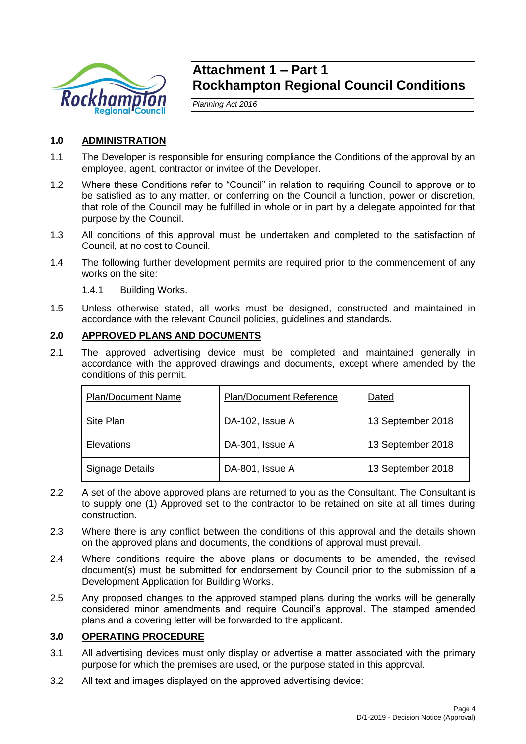

# **Attachment 1 – Part 1 Rockhampton Regional Council Conditions**

*Planning Act 2016*

# **1.0 ADMINISTRATION**

- 1.1 The Developer is responsible for ensuring compliance the Conditions of the approval by an employee, agent, contractor or invitee of the Developer.
- 1.2 Where these Conditions refer to "Council" in relation to requiring Council to approve or to be satisfied as to any matter, or conferring on the Council a function, power or discretion, that role of the Council may be fulfilled in whole or in part by a delegate appointed for that purpose by the Council.
- 1.3 All conditions of this approval must be undertaken and completed to the satisfaction of Council, at no cost to Council.
- 1.4 The following further development permits are required prior to the commencement of any works on the site:

1.4.1 Building Works.

1.5 Unless otherwise stated, all works must be designed, constructed and maintained in accordance with the relevant Council policies, guidelines and standards.

# **2.0 APPROVED PLANS AND DOCUMENTS**

2.1 The approved advertising device must be completed and maintained generally in accordance with the approved drawings and documents, except where amended by the conditions of this permit.

| <b>Plan/Document Reference</b><br><b>Plan/Document Name</b> |                 | Dated             |
|-------------------------------------------------------------|-----------------|-------------------|
| <b>Site Plan</b>                                            | DA-102, Issue A | 13 September 2018 |
| Elevations                                                  | DA-301, Issue A | 13 September 2018 |
| Signage Details                                             | DA-801, Issue A | 13 September 2018 |

- 2.2 A set of the above approved plans are returned to you as the Consultant. The Consultant is to supply one (1) Approved set to the contractor to be retained on site at all times during construction.
- 2.3 Where there is any conflict between the conditions of this approval and the details shown on the approved plans and documents, the conditions of approval must prevail.
- 2.4 Where conditions require the above plans or documents to be amended, the revised document(s) must be submitted for endorsement by Council prior to the submission of a Development Application for Building Works.
- 2.5 Any proposed changes to the approved stamped plans during the works will be generally considered minor amendments and require Council's approval. The stamped amended plans and a covering letter will be forwarded to the applicant.

# **3.0 OPERATING PROCEDURE**

- 3.1 All advertising devices must only display or advertise a matter associated with the primary purpose for which the premises are used, or the purpose stated in this approval.
- 3.2 All text and images displayed on the approved advertising device: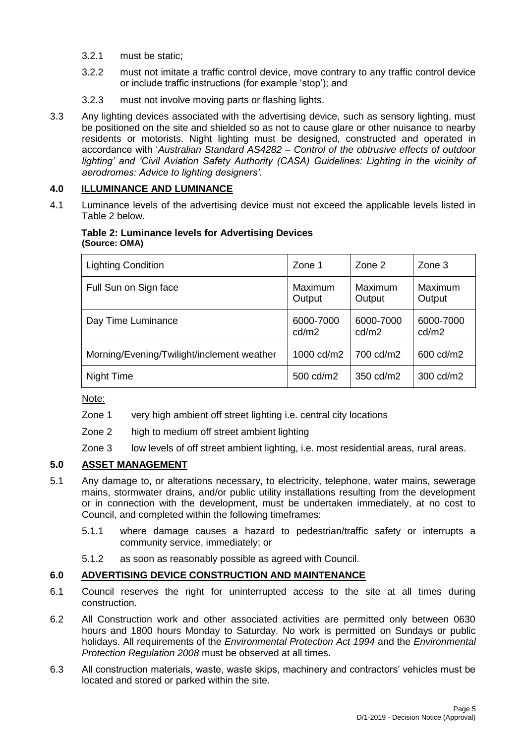- 3.2.1 must be static;
- 3.2.2 must not imitate a traffic control device, move contrary to any traffic control device or include traffic instructions (for example 'stop'); and
- 3.2.3 must not involve moving parts or flashing lights.
- 3.3 Any lighting devices associated with the advertising device, such as sensory lighting, must be positioned on the site and shielded so as not to cause glare or other nuisance to nearby residents or motorists. Night lighting must be designed, constructed and operated in accordance with '*Australian Standard AS4282 – Control of the obtrusive effects of outdoor*  lighting' and 'Civil Aviation Safety Authority (CASA) Guidelines: Lighting in the vicinity of *aerodromes: Advice to lighting designers'.*

# **4.0 ILLUMINANCE AND LUMINANCE**

4.1 Luminance levels of the advertising device must not exceed the applicable levels listed in Table 2 below.

### **Table 2: Luminance levels for Advertising Devices (Source: OMA)**

| <b>Lighting Condition</b>                  | Zone 1             | Zone 2             | Zone 3             |
|--------------------------------------------|--------------------|--------------------|--------------------|
| Full Sun on Sign face                      | Maximum<br>Output  | Maximum<br>Output  | Maximum<br>Output  |
| Day Time Luminance                         | 6000-7000<br>cd/m2 | 6000-7000<br>cd/m2 | 6000-7000<br>cd/m2 |
| Morning/Evening/Twilight/inclement weather | 1000 cd/m2         | 700 cd/m2          | 600 cd/m2          |
| Night Time                                 | 500 cd/m2          | 350 cd/m2          | 300 cd/m2          |

Note:

- Zone 1 very high ambient off street lighting i.e. central city locations
- Zone 2 high to medium off street ambient lighting
- Zone 3 low levels of off street ambient lighting, i.e. most residential areas, rural areas.

# **5.0 ASSET MANAGEMENT**

- 5.1 Any damage to, or alterations necessary, to electricity, telephone, water mains, sewerage mains, stormwater drains, and/or public utility installations resulting from the development or in connection with the development, must be undertaken immediately, at no cost to Council, and completed within the following timeframes:
	- 5.1.1 where damage causes a hazard to pedestrian/traffic safety or interrupts a community service, immediately; or
	- 5.1.2 as soon as reasonably possible as agreed with Council.

# **6.0 ADVERTISING DEVICE CONSTRUCTION AND MAINTENANCE**

- 6.1 Council reserves the right for uninterrupted access to the site at all times during construction.
- 6.2 All Construction work and other associated activities are permitted only between 0630 hours and 1800 hours Monday to Saturday. No work is permitted on Sundays or public holidays. All requirements of the *Environmental Protection Act 1994* and the *Environmental Protection Regulation 2008* must be observed at all times.
- 6.3 All construction materials, waste, waste skips, machinery and contractors' vehicles must be located and stored or parked within the site.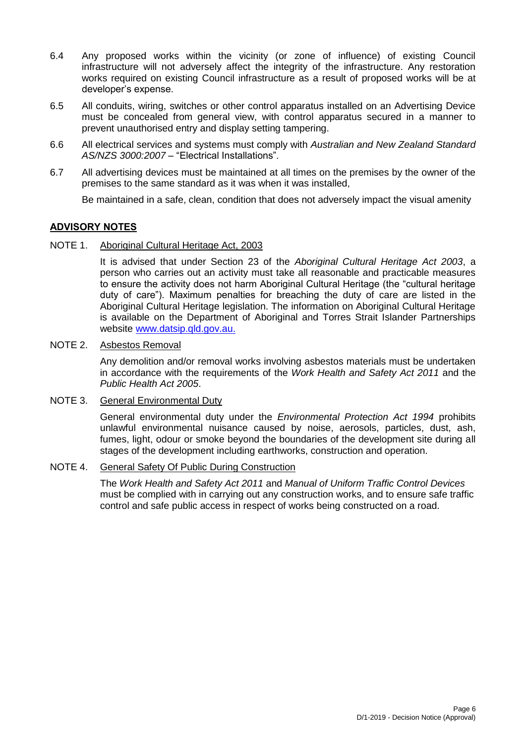- 6.4 Any proposed works within the vicinity (or zone of influence) of existing Council infrastructure will not adversely affect the integrity of the infrastructure. Any restoration works required on existing Council infrastructure as a result of proposed works will be at developer's expense.
- 6.5 All conduits, wiring, switches or other control apparatus installed on an Advertising Device must be concealed from general view, with control apparatus secured in a manner to prevent unauthorised entry and display setting tampering.
- 6.6 All electrical services and systems must comply with *Australian and New Zealand Standard AS/NZS 3000:2007* – "Electrical Installations".
- 6.7 All advertising devices must be maintained at all times on the premises by the owner of the premises to the same standard as it was when it was installed,

Be maintained in a safe, clean, condition that does not adversely impact the visual amenity

# **ADVISORY NOTES**

NOTE 1. Aboriginal Cultural Heritage Act, 2003

It is advised that under Section 23 of the *Aboriginal Cultural Heritage Act 2003*, a person who carries out an activity must take all reasonable and practicable measures to ensure the activity does not harm Aboriginal Cultural Heritage (the "cultural heritage duty of care"). Maximum penalties for breaching the duty of care are listed in the Aboriginal Cultural Heritage legislation. The information on Aboriginal Cultural Heritage is available on the Department of Aboriginal and Torres Strait Islander Partnerships website [www.datsip.qld.gov.au.](http://www.datsip.qld.gov.au/)

### NOTE 2. Asbestos Removal

Any demolition and/or removal works involving asbestos materials must be undertaken in accordance with the requirements of the *Work Health and Safety Act 2011* and the *Public Health Act 2005*.

# NOTE 3. General Environmental Duty

General environmental duty under the *Environmental Protection Act 1994* prohibits unlawful environmental nuisance caused by noise, aerosols, particles, dust, ash, fumes, light, odour or smoke beyond the boundaries of the development site during all stages of the development including earthworks, construction and operation.

### NOTE 4. General Safety Of Public During Construction

The *Work Health and Safety Act 2011* and *Manual of Uniform Traffic Control Devices* must be complied with in carrying out any construction works, and to ensure safe traffic control and safe public access in respect of works being constructed on a road.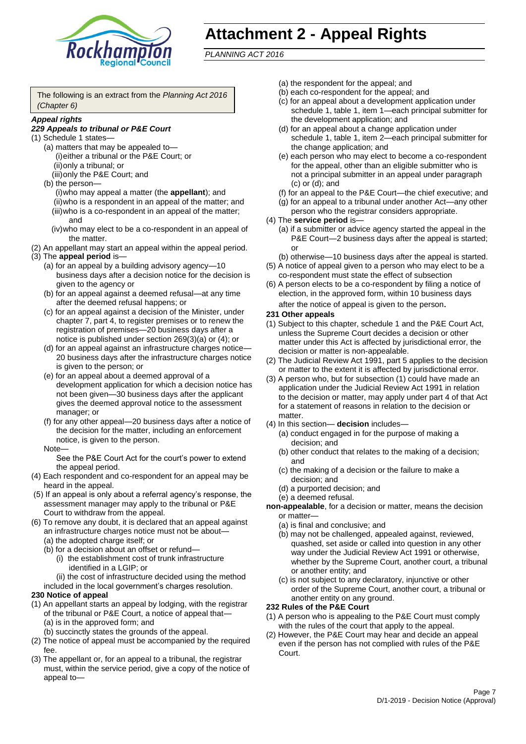

# **Attachment 2 - Appeal Rights**

*PLANNING ACT 2016*

The following is an extract from the *Planning Act 2016 (Chapter 6)*

#### *Appeal rights*

### *229 Appeals to tribunal or P&E Court*

- (1) Schedule 1 states—
	- (a) matters that may be appealed to— (i)either a tribunal or the P&E Court; or (ii)only a tribunal; or (iii)only the P&E Court; and
	- (b) the person—
		- (i)who may appeal a matter (the **appellant**); and (ii)who is a respondent in an appeal of the matter; and (iii)who is a co-respondent in an appeal of the matter; and
		- (iv)who may elect to be a co-respondent in an appeal of the matter.
- (2) An appellant may start an appeal within the appeal period.
- (3) The **appeal period** is—
	- (a) for an appeal by a building advisory agency—10 business days after a decision notice for the decision is given to the agency or
	- (b) for an appeal against a deemed refusal—at any time after the deemed refusal happens; or
	- (c) for an appeal against a decision of the Minister, under chapter 7, part 4, to register premises or to renew the registration of premises—20 business days after a notice is published under section 269(3)(a) or (4); or
	- (d) for an appeal against an infrastructure charges notice— 20 business days after the infrastructure charges notice is given to the person; or
	- (e) for an appeal about a deemed approval of a development application for which a decision notice has not been given—30 business days after the applicant gives the deemed approval notice to the assessment manager; or
	- (f) for any other appeal—20 business days after a notice of the decision for the matter, including an enforcement notice, is given to the person.

#### Note—

See the P&E Court Act for the court's power to extend the appeal period.

- (4) Each respondent and co-respondent for an appeal may be heard in the appeal.
- (5) If an appeal is only about a referral agency's response, the assessment manager may apply to the tribunal or P&E Court to withdraw from the appeal.
- (6) To remove any doubt, it is declared that an appeal against an infrastructure charges notice must not be about—
	- (a) the adopted charge itself; or
	- (b) for a decision about an offset or refund—
		- (i) the establishment cost of trunk infrastructure identified in a LGIP; or
		- (ii) the cost of infrastructure decided using the method
	- included in the local government's charges resolution.
- **230 Notice of appeal**
- (1) An appellant starts an appeal by lodging, with the registrar of the tribunal or P&E Court, a notice of appeal that—
	- (a) is in the approved form; and
	- (b) succinctly states the grounds of the appeal.
- (2) The notice of appeal must be accompanied by the required fee.
- (3) The appellant or, for an appeal to a tribunal, the registrar must, within the service period, give a copy of the notice of appeal to—
- (a) the respondent for the appeal; and
- (b) each co-respondent for the appeal; and
- (c) for an appeal about a development application under schedule 1, table 1, item 1—each principal submitter for the development application; and
- (d) for an appeal about a change application under schedule 1, table 1, item 2—each principal submitter for the change application; and
- (e) each person who may elect to become a co-respondent for the appeal, other than an eligible submitter who is not a principal submitter in an appeal under paragraph (c) or (d); and
- (f) for an appeal to the P&E Court—the chief executive; and
- (g) for an appeal to a tribunal under another Act—any other person who the registrar considers appropriate.
- (4) The **service period** is—
	- (a) if a submitter or advice agency started the appeal in the P&E Court—2 business days after the appeal is started; or
	- (b) otherwise—10 business days after the appeal is started.
- (5) A notice of appeal given to a person who may elect to be a co-respondent must state the effect of subsection
- (6) A person elects to be a co-respondent by filing a notice of election, in the approved form, within 10 business days after the notice of appeal is given to the person*.*
- **231 Other appeals**
- (1) Subject to this chapter, schedule 1 and the P&E Court Act, unless the Supreme Court decides a decision or other matter under this Act is affected by jurisdictional error, the decision or matter is non-appealable.
- (2) The Judicial Review Act 1991, part 5 applies to the decision or matter to the extent it is affected by jurisdictional error.
- (3) A person who, but for subsection (1) could have made an application under the Judicial Review Act 1991 in relation to the decision or matter, may apply under part 4 of that Act for a statement of reasons in relation to the decision or matter.
- (4) In this section— **decision** includes—
	- (a) conduct engaged in for the purpose of making a decision; and
	- (b) other conduct that relates to the making of a decision; and
	- (c) the making of a decision or the failure to make a decision; and
	- (d) a purported decision; and
	- (e) a deemed refusal.

**non-appealable**, for a decision or matter, means the decision or matter—

- (a) is final and conclusive; and
- (b) may not be challenged, appealed against, reviewed, quashed, set aside or called into question in any other way under the Judicial Review Act 1991 or otherwise, whether by the Supreme Court, another court, a tribunal or another entity; and
- (c) is not subject to any declaratory, injunctive or other order of the Supreme Court, another court, a tribunal or another entity on any ground.

#### **232 Rules of the P&E Court**

- (1) A person who is appealing to the P&E Court must comply with the rules of the court that apply to the appeal.
- (2) However, the P&E Court may hear and decide an appeal even if the person has not complied with rules of the P&E Court.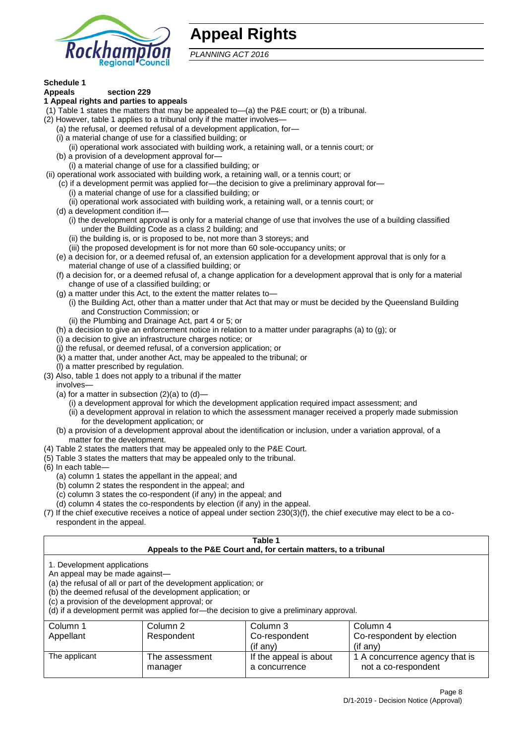

# **Appeal Rights**

*PLANNING ACT 2016*

# **Schedule 1**

#### **Appeals section 229 1 Appeal rights and parties to appeals**

- (1) Table 1 states the matters that may be appealed to—(a) the P&E court; or (b) a tribunal.
- (2) However, table 1 applies to a tribunal only if the matter involves—
	- (a) the refusal, or deemed refusal of a development application, for—
	- (i) a material change of use for a classified building; or
	- (ii) operational work associated with building work, a retaining wall, or a tennis court; or
	- (b) a provision of a development approval for—
	- (i) a material change of use for a classified building; or
- (ii) operational work associated with building work, a retaining wall, or a tennis court; or
	- (c) if a development permit was applied for—the decision to give a preliminary approval for—
		- (i) a material change of use for a classified building; or
	- (ii) operational work associated with building work, a retaining wall, or a tennis court; or
	- (d) a development condition if—
		- (i) the development approval is only for a material change of use that involves the use of a building classified under the Building Code as a class 2 building; and
		- (ii) the building is, or is proposed to be, not more than 3 storeys; and
		- (iii) the proposed development is for not more than 60 sole-occupancy units; or
	- (e) a decision for, or a deemed refusal of, an extension application for a development approval that is only for a material change of use of a classified building; or
	- (f) a decision for, or a deemed refusal of, a change application for a development approval that is only for a material change of use of a classified building; or
	- (g) a matter under this Act, to the extent the matter relates to—
		- (i) the Building Act, other than a matter under that Act that may or must be decided by the Queensland Building and Construction Commission; or
		- (ii) the Plumbing and Drainage Act, part 4 or 5; or
	- (h) a decision to give an enforcement notice in relation to a matter under paragraphs (a) to (g); or
	- (i) a decision to give an infrastructure charges notice; or
	- (j) the refusal, or deemed refusal, of a conversion application; or
	- (k) a matter that, under another Act, may be appealed to the tribunal; or
	- (l) a matter prescribed by regulation.
- (3) Also, table 1 does not apply to a tribunal if the matter

involves—

- (a) for a matter in subsection  $(2)(a)$  to  $(d)$ 
	- (i) a development approval for which the development application required impact assessment; and
	- (ii) a development approval in relation to which the assessment manager received a properly made submission for the development application; or
- (b) a provision of a development approval about the identification or inclusion, under a variation approval, of a matter for the development.
- (4) Table 2 states the matters that may be appealed only to the P&E Court.
- (5) Table 3 states the matters that may be appealed only to the tribunal.
- (6) In each table—
	- (a) column 1 states the appellant in the appeal; and
	- (b) column 2 states the respondent in the appeal; and
	- (c) column 3 states the co-respondent (if any) in the appeal; and
	- (d) column 4 states the co-respondents by election (if any) in the appeal.
- (7) If the chief executive receives a notice of appeal under section 230(3)(f), the chief executive may elect to be a corespondent in the appeal.

| Table 1<br>Appeals to the P&E Court and, for certain matters, to a tribunal                                                                                                                                                                                                                                                                    |                           |                                         |                                                       |  |
|------------------------------------------------------------------------------------------------------------------------------------------------------------------------------------------------------------------------------------------------------------------------------------------------------------------------------------------------|---------------------------|-----------------------------------------|-------------------------------------------------------|--|
| 1. Development applications<br>An appeal may be made against-<br>(a) the refusal of all or part of the development application; or<br>(b) the deemed refusal of the development application; or<br>(c) a provision of the development approval; or<br>(d) if a development permit was applied for-the decision to give a preliminary approval. |                           |                                         |                                                       |  |
| Column 1                                                                                                                                                                                                                                                                                                                                       | Column 2                  | Column 3                                | Column 4                                              |  |
| Appellant                                                                                                                                                                                                                                                                                                                                      | Respondent                | Co-respondent                           | Co-respondent by election                             |  |
| (if any)<br>$($ if any $)$                                                                                                                                                                                                                                                                                                                     |                           |                                         |                                                       |  |
| The applicant                                                                                                                                                                                                                                                                                                                                  | The assessment<br>manager | If the appeal is about<br>a concurrence | 1 A concurrence agency that is<br>not a co-respondent |  |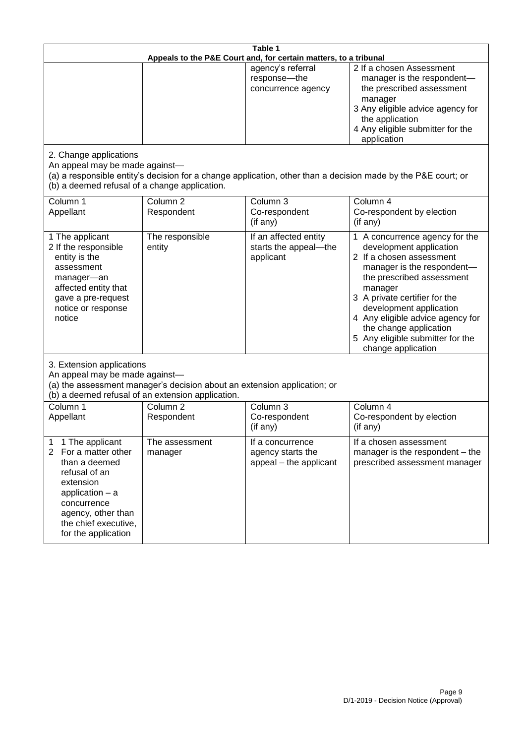| Table 1<br>Appeals to the P&E Court and, for certain matters, to a tribunal                                                                                                                                          |                                   |                                                                 |                                                                                                                                                                                                                                                                                                                                                 |  |
|----------------------------------------------------------------------------------------------------------------------------------------------------------------------------------------------------------------------|-----------------------------------|-----------------------------------------------------------------|-------------------------------------------------------------------------------------------------------------------------------------------------------------------------------------------------------------------------------------------------------------------------------------------------------------------------------------------------|--|
|                                                                                                                                                                                                                      |                                   | agency's referral<br>response-the<br>concurrence agency         | 2 If a chosen Assessment<br>manager is the respondent-<br>the prescribed assessment<br>manager<br>3 Any eligible advice agency for<br>the application<br>4 Any eligible submitter for the<br>application                                                                                                                                        |  |
| 2. Change applications<br>An appeal may be made against-<br>(b) a deemed refusal of a change application.                                                                                                            |                                   |                                                                 | (a) a responsible entity's decision for a change application, other than a decision made by the P&E court; or                                                                                                                                                                                                                                   |  |
| Column 1<br>Appellant                                                                                                                                                                                                | Column <sub>2</sub><br>Respondent | Column <sub>3</sub><br>Co-respondent<br>(if any)                | Column 4<br>Co-respondent by election<br>(if any)                                                                                                                                                                                                                                                                                               |  |
| 1 The applicant<br>2 If the responsible<br>entity is the<br>assessment<br>manager-an<br>affected entity that<br>gave a pre-request<br>notice or response<br>notice                                                   | The responsible<br>entity         | If an affected entity<br>starts the appeal-the<br>applicant     | 1 A concurrence agency for the<br>development application<br>2 If a chosen assessment<br>manager is the respondent-<br>the prescribed assessment<br>manager<br>3 A private certifier for the<br>development application<br>4 Any eligible advice agency for<br>the change application<br>5 Any eligible submitter for the<br>change application |  |
| 3. Extension applications<br>An appeal may be made against-<br>(a) the assessment manager's decision about an extension application; or<br>(b) a deemed refusal of an extension application.                         |                                   |                                                                 |                                                                                                                                                                                                                                                                                                                                                 |  |
| Column 1<br>Appellant                                                                                                                                                                                                | Column <sub>2</sub><br>Respondent | Column 3<br>Co-respondent<br>(if any)                           | Column 4<br>Co-respondent by election<br>(if any)                                                                                                                                                                                                                                                                                               |  |
| 1 The applicant<br>1<br>$\overline{2}$<br>For a matter other<br>than a deemed<br>refusal of an<br>extension<br>application $-$ a<br>concurrence<br>agency, other than<br>the chief executive,<br>for the application | The assessment<br>manager         | If a concurrence<br>agency starts the<br>appeal - the applicant | If a chosen assessment<br>manager is the respondent - the<br>prescribed assessment manager                                                                                                                                                                                                                                                      |  |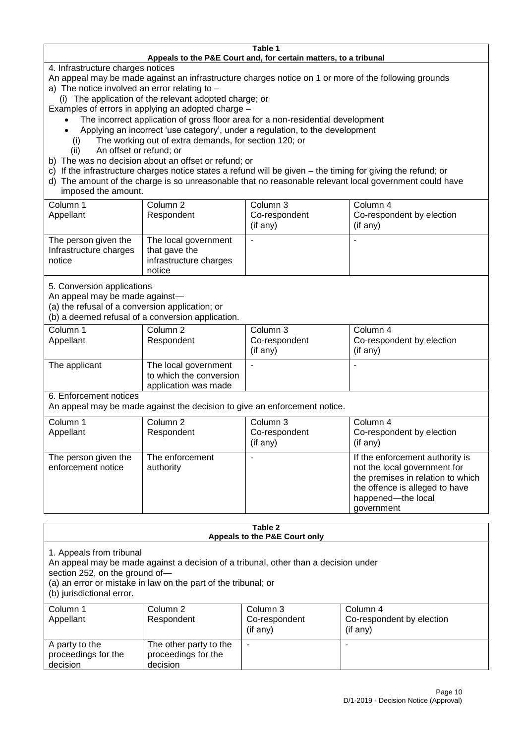#### **Table 1 Appeals to the P&E Court and, for certain matters, to a tribunal**

4. Infrastructure charges notices

- An appeal may be made against an infrastructure charges notice on 1 or more of the following grounds
- a) The notice involved an error relating to
	- (i) The application of the relevant adopted charge; or
- Examples of errors in applying an adopted charge
	- The incorrect application of gross floor area for a non-residential development
	- Applying an incorrect 'use category', under a regulation, to the development
	- (i) The working out of extra demands, for section 120; or
	- (ii) An offset or refund; or
- b) The was no decision about an offset or refund; or
- c) If the infrastructure charges notice states a refund will be given the timing for giving the refund; or
- d) The amount of the charge is so unreasonable that no reasonable relevant local government could have
- imposed the amount.

| Column 1                                                 | Column 2                                                                  | Column 3       | Column 4                  |
|----------------------------------------------------------|---------------------------------------------------------------------------|----------------|---------------------------|
| Appellant                                                | Respondent                                                                | Co-respondent  | Co-respondent by election |
|                                                          |                                                                           | $($ if any $)$ | (if any)                  |
| The person given the<br>Infrastructure charges<br>notice | The local government<br>that gave the<br>infrastructure charges<br>notice |                |                           |

5. Conversion applications

An appeal may be made against—

(a) the refusal of a conversion application; or

(b) a deemed refusal of a conversion application.

| Column 1<br>Appellant | Column 2<br>Respondent                                                  | Column 3<br>Co-respondent<br>$($ if any $)$ | Column 4<br>Co-respondent by election<br>$($ if any $)$ |
|-----------------------|-------------------------------------------------------------------------|---------------------------------------------|---------------------------------------------------------|
| The applicant         | The local government<br>to which the conversion<br>application was made |                                             |                                                         |

6. Enforcement notices

An appeal may be made against the decision to give an enforcement notice.

| Column 1<br>Appellant                      | Column 2<br>Respondent       | Column 3<br>Co-respondent<br>(if any) | Column 4<br>Co-respondent by election<br>(if any)                                                                                                                          |
|--------------------------------------------|------------------------------|---------------------------------------|----------------------------------------------------------------------------------------------------------------------------------------------------------------------------|
| The person given the<br>enforcement notice | The enforcement<br>authority |                                       | If the enforcement authority is<br>not the local government for<br>the premises in relation to which<br>the offence is alleged to have<br>happened-the local<br>government |

#### **Table 2 Appeals to the P&E Court only**

1. Appeals from tribunal

An appeal may be made against a decision of a tribunal, other than a decision under

section 252, on the ground of—

(a) an error or mistake in law on the part of the tribunal; or

(b) jurisdictional error.

| Column 1<br>Appellant                             | Column 2<br>Respondent                                    | Column 3<br>Co-respondent<br>$($ if any $)$ | Column 4<br>Co-respondent by election<br>(if any) |
|---------------------------------------------------|-----------------------------------------------------------|---------------------------------------------|---------------------------------------------------|
| A party to the<br>proceedings for the<br>decision | The other party to the<br>proceedings for the<br>decision | ۰                                           |                                                   |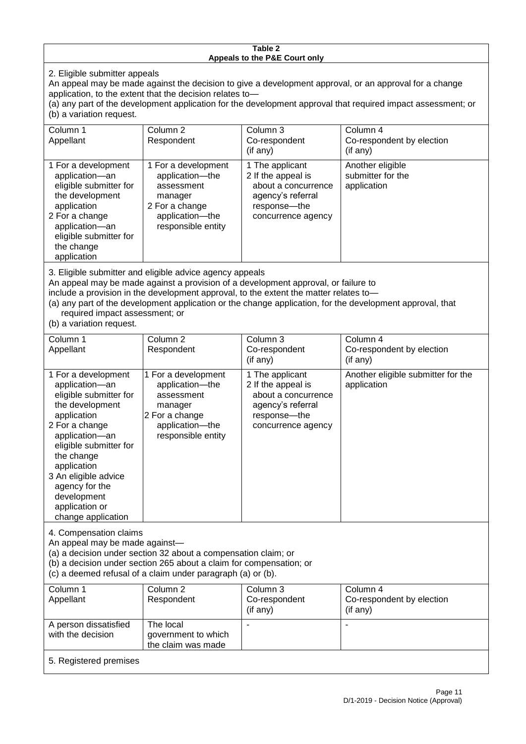#### **Table 2 Appeals to the P&E Court only**

2. Eligible submitter appeals

An appeal may be made against the decision to give a development approval, or an approval for a change application, to the extent that the decision relates to—

(a) any part of the development application for the development approval that required impact assessment; or (b) a variation request.

| Column 1<br>Appellant                                                                                                                                                                        | Column 2<br>Respondent                                                                                                     | Column 3<br>Co-respondent<br>$($ if any $)$                                                                               | Column 4<br>Co-respondent by election<br>$($ if any $)$ |
|----------------------------------------------------------------------------------------------------------------------------------------------------------------------------------------------|----------------------------------------------------------------------------------------------------------------------------|---------------------------------------------------------------------------------------------------------------------------|---------------------------------------------------------|
| 1 For a development<br>application-an<br>eligible submitter for<br>the development<br>application<br>2 For a change<br>application-an<br>eligible submitter for<br>the change<br>application | 1 For a development<br>application-the<br>assessment<br>manager<br>2 For a change<br>application-the<br>responsible entity | 1 The applicant<br>2 If the appeal is<br>about a concurrence<br>agency's referral<br>response---the<br>concurrence agency | Another eligible<br>submitter for the<br>application    |
| 3. Eligible submitter and eligible advice agency appeals                                                                                                                                     |                                                                                                                            |                                                                                                                           |                                                         |

3. Eligible submitter and eligible advice agency appeals

An appeal may be made against a provision of a development approval, or failure to

include a provision in the development approval, to the extent the matter relates to—

(a) any part of the development application or the change application, for the development approval, that required impact assessment; or

(b) a variation request.

| Column 1<br>Appellant                                                                                                                                                                                                                                                                         | Column <sub>2</sub><br>Respondent                                                                                          | Column 3<br>Co-respondent<br>(if any)                                                                                   | Column <sub>4</sub><br>Co-respondent by election<br>(if any) |
|-----------------------------------------------------------------------------------------------------------------------------------------------------------------------------------------------------------------------------------------------------------------------------------------------|----------------------------------------------------------------------------------------------------------------------------|-------------------------------------------------------------------------------------------------------------------------|--------------------------------------------------------------|
| 1 For a development<br>application-an<br>eligible submitter for<br>the development<br>application<br>2 For a change<br>application-an<br>eligible submitter for<br>the change<br>application<br>3 An eligible advice<br>agency for the<br>development<br>application or<br>change application | 1 For a development<br>application-the<br>assessment<br>manager<br>2 For a change<br>application-the<br>responsible entity | 1 The applicant<br>2 If the appeal is<br>about a concurrence<br>agency's referral<br>response-the<br>concurrence agency | Another eligible submitter for the<br>application            |
| 4. Compensation claims<br>An appeal may be made against-<br>(a) a decision under section 32 about a compensation claim; or<br>(b) a decision under section 265 about a claim for compensation; or<br>(c) a deemed refusal of a claim under paragraph (a) or (b).                              |                                                                                                                            |                                                                                                                         |                                                              |
| Column 1<br>Appellant                                                                                                                                                                                                                                                                         | Column $2$<br>Respondent                                                                                                   | Column 3<br>Co-respondent<br>(if any)                                                                                   | Column 4<br>Co-respondent by election<br>(if any)            |
| A person dissatisfied<br>with the decision                                                                                                                                                                                                                                                    | The local<br>government to which<br>the claim was made                                                                     |                                                                                                                         |                                                              |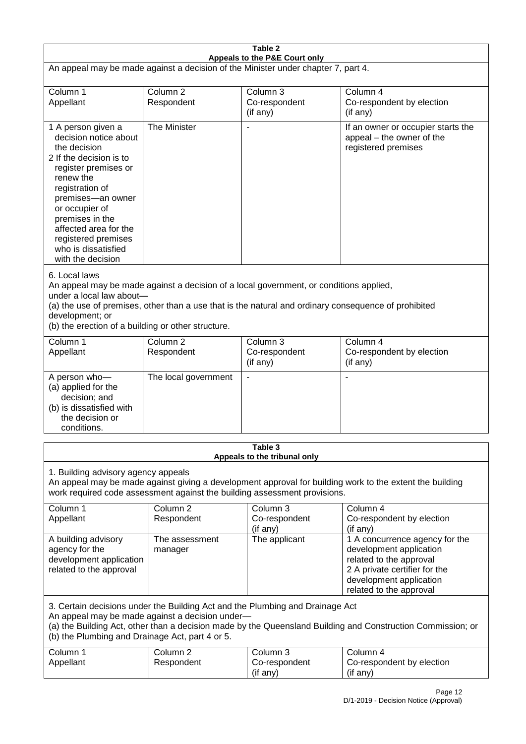| Table 2<br>Appeals to the P&E Court only                                                                                                                                                                                                                                                                             |                                   |                                                  |                                                                                                                                                                             |  |
|----------------------------------------------------------------------------------------------------------------------------------------------------------------------------------------------------------------------------------------------------------------------------------------------------------------------|-----------------------------------|--------------------------------------------------|-----------------------------------------------------------------------------------------------------------------------------------------------------------------------------|--|
| An appeal may be made against a decision of the Minister under chapter 7, part 4.                                                                                                                                                                                                                                    |                                   |                                                  |                                                                                                                                                                             |  |
| Column 1<br>Appellant                                                                                                                                                                                                                                                                                                | Column <sub>2</sub><br>Respondent | Column 3<br>Co-respondent<br>(if any)            | Column 4<br>Co-respondent by election<br>(if any)                                                                                                                           |  |
| 1 A person given a<br>decision notice about<br>the decision<br>2 If the decision is to<br>register premises or<br>renew the<br>registration of<br>premises-an owner<br>or occupier of<br>premises in the<br>affected area for the<br>registered premises<br>who is dissatisfied<br>with the decision                 | The Minister                      |                                                  | If an owner or occupier starts the<br>appeal - the owner of the<br>registered premises                                                                                      |  |
| 6. Local laws<br>An appeal may be made against a decision of a local government, or conditions applied,<br>under a local law about-<br>(a) the use of premises, other than a use that is the natural and ordinary consequence of prohibited<br>development; or<br>(b) the erection of a building or other structure. |                                   |                                                  |                                                                                                                                                                             |  |
| Column 1<br>Appellant                                                                                                                                                                                                                                                                                                | Column <sub>2</sub><br>Respondent | Column <sub>3</sub><br>Co-respondent<br>(if any) | Column 4<br>Co-respondent by election<br>(if any)                                                                                                                           |  |
| A person who-<br>(a) applied for the<br>decision; and<br>(b) is dissatisfied with<br>the decision or<br>conditions.                                                                                                                                                                                                  | The local government              | $\blacksquare$                                   |                                                                                                                                                                             |  |
|                                                                                                                                                                                                                                                                                                                      |                                   | Table 3<br>Appeals to the tribunal only          |                                                                                                                                                                             |  |
| 1. Building advisory agency appeals<br>An appeal may be made against giving a development approval for building work to the extent the building<br>work required code assessment against the building assessment provisions.                                                                                         |                                   |                                                  |                                                                                                                                                                             |  |
| Column 1<br>Appellant                                                                                                                                                                                                                                                                                                | Column 2<br>Respondent            | Column 3<br>Co-respondent<br>(if any)            | Column 4<br>Co-respondent by election<br>(if any)                                                                                                                           |  |
| A building advisory<br>agency for the<br>development application<br>related to the approval                                                                                                                                                                                                                          | The assessment<br>manager         | The applicant                                    | 1 A concurrence agency for the<br>development application<br>related to the approval<br>2 A private certifier for the<br>development application<br>related to the approval |  |
| 3. Certain decisions under the Building Act and the Plumbing and Drainage Act<br>An appeal may be made against a decision under-<br>(a) the Building Act, other than a decision made by the Queensland Building and Construction Commission; or<br>(b) the Plumbing and Drainage Act, part 4 or 5.                   |                                   |                                                  |                                                                                                                                                                             |  |
| Column 1<br>Appellant                                                                                                                                                                                                                                                                                                | Column <sub>2</sub><br>Respondent | Column 3<br>Co-respondent<br>(if any)            | Column 4<br>Co-respondent by election<br>(if any)                                                                                                                           |  |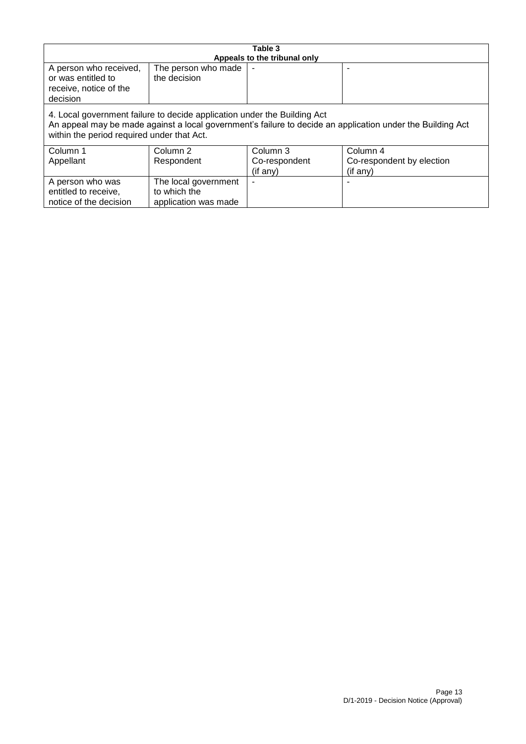| Table 3                                                                                                                                                                                                                              |                                                              |                              |                           |  |
|--------------------------------------------------------------------------------------------------------------------------------------------------------------------------------------------------------------------------------------|--------------------------------------------------------------|------------------------------|---------------------------|--|
|                                                                                                                                                                                                                                      |                                                              | Appeals to the tribunal only |                           |  |
| A person who received,<br>or was entitled to<br>receive, notice of the<br>decision                                                                                                                                                   | The person who made<br>the decision                          |                              |                           |  |
| 4. Local government failure to decide application under the Building Act<br>An appeal may be made against a local government's failure to decide an application under the Building Act<br>within the period required under that Act. |                                                              |                              |                           |  |
| Column 1                                                                                                                                                                                                                             | Column 2                                                     | Column 3                     | Column 4                  |  |
| Appellant                                                                                                                                                                                                                            | Respondent                                                   | Co-respondent                | Co-respondent by election |  |
|                                                                                                                                                                                                                                      |                                                              | (if any)                     | (if any)                  |  |
| A person who was<br>entitled to receive,<br>notice of the decision                                                                                                                                                                   | The local government<br>to which the<br>application was made |                              |                           |  |